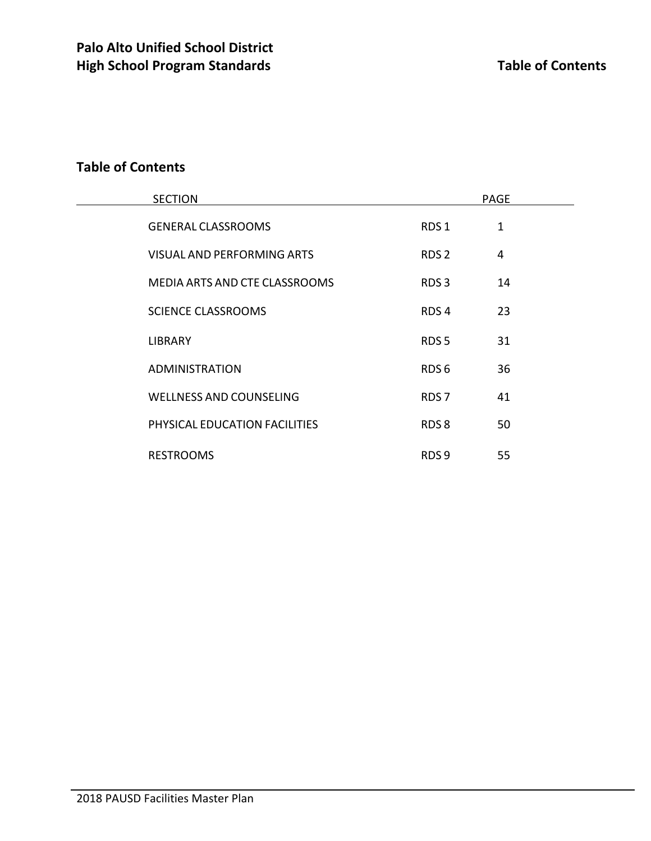# **Table of Contents**

| <b>SECTION</b>                 | <b>PAGE</b>      |    |  |
|--------------------------------|------------------|----|--|
| <b>GENERAL CLASSROOMS</b>      | RDS <sub>1</sub> | 1  |  |
| VISUAL AND PERFORMING ARTS     | RDS <sub>2</sub> | 4  |  |
| MEDIA ARTS AND CTE CLASSROOMS  | RDS <sub>3</sub> | 14 |  |
| <b>SCIENCE CLASSROOMS</b>      | RDS <sub>4</sub> | 23 |  |
| <b>LIBRARY</b>                 | RDS <sub>5</sub> | 31 |  |
| <b>ADMINISTRATION</b>          | RDS <sub>6</sub> | 36 |  |
| <b>WELLNESS AND COUNSELING</b> | RDS <sub>7</sub> | 41 |  |
| PHYSICAL EDUCATION FACILITIES  | RDS8             | 50 |  |
| <b>RESTROOMS</b>               | RDS <sub>9</sub> | 55 |  |